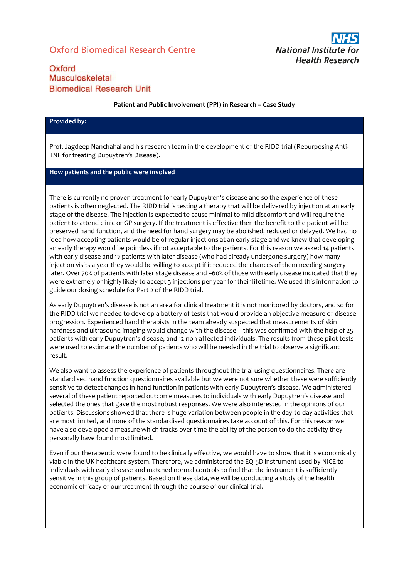# Oxford Biomedical Research Centre



## Oxford Musculoskeletal **Biomedical Research Unit**

#### **Patient and Public Involvement (PPI) in Research – Case Study**

#### **Provided by:**

Prof. Jagdeep Nanchahal and his research team in the development of the RIDD trial (Repurposing Anti-TNF for treating Dupuytren's Disease).

### **How patients and the public were involved**

There is currently no proven treatment for early Dupuytren's disease and so the experience of these patients is often neglected. The RIDD trial is testing a therapy that will be delivered by injection at an early stage of the disease. The injection is expected to cause minimal to mild discomfort and will require the patient to attend clinic or GP surgery. If the treatment is effective then the benefit to the patient will be preserved hand function, and the need for hand surgery may be abolished, reduced or delayed. We had no idea how accepting patients would be of regular injections at an early stage and we knew that developing an early therapy would be pointless if not acceptable to the patients. For this reason we asked 14 patients with early disease and 17 patients with later disease (who had already undergone surgery) how many injection visits a year they would be willing to accept if it reduced the chances of them needing surgery later. Over 70% of patients with later stage disease and ~60% of those with early disease indicated that they were extremely or highly likely to accept 3 injections per year for their lifetime. We used this information to guide our dosing schedule for Part 2 of the RIDD trial.

As early Dupuytren's disease is not an area for clinical treatment it is not monitored by doctors, and so for the RIDD trial we needed to develop a battery of tests that would provide an objective measure of disease progression. Experienced hand therapists in the team already suspected that measurements of skin hardness and ultrasound imaging would change with the disease – this was confirmed with the help of 25 patients with early Dupuytren's disease, and 12 non-affected individuals. The results from these pilot tests were used to estimate the number of patients who will be needed in the trial to observe a significant result.

We also want to assess the experience of patients throughout the trial using questionnaires. There are standardised hand function questionnaires available but we were not sure whether these were sufficiently sensitive to detect changes in hand function in patients with early Dupuytren's disease. We administered several of these patient reported outcome measures to individuals with early Dupuytren's disease and selected the ones that gave the most robust responses. We were also interested in the opinions of our patients. Discussions showed that there is huge variation between people in the day-to-day activities that are most limited, and none of the standardised questionnaires take account of this. For this reason we have also developed a measure which tracks over time the ability of the person to do the activity they personally have found most limited.

Even if our therapeutic were found to be clinically effective, we would have to show that it is economically viable in the UK healthcare system. Therefore, we administered the EQ-5D instrument used by NICE to individuals with early disease and matched normal controls to find that the instrument is sufficiently sensitive in this group of patients. Based on these data, we will be conducting a study of the health economic efficacy of our treatment through the course of our clinical trial.